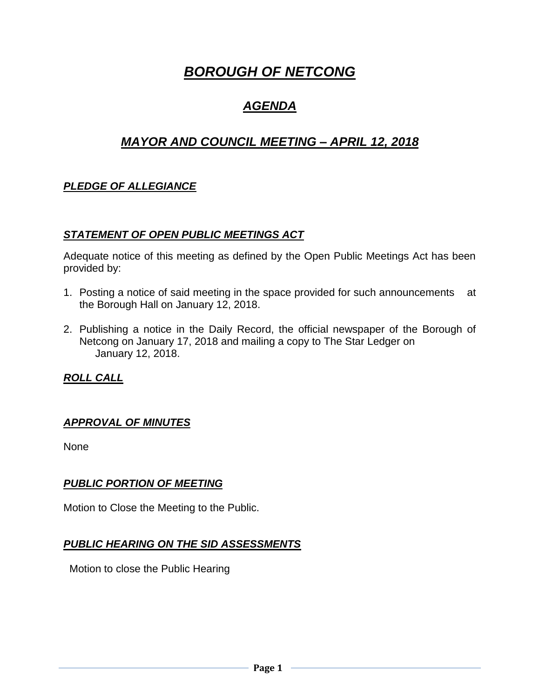# *BOROUGH OF NETCONG*

## *AGENDA*

## *MAYOR AND COUNCIL MEETING – APRIL 12, 2018*

## *PLEDGE OF ALLEGIANCE*

#### *STATEMENT OF OPEN PUBLIC MEETINGS ACT*

Adequate notice of this meeting as defined by the Open Public Meetings Act has been provided by:

- 1. Posting a notice of said meeting in the space provided for such announcements at the Borough Hall on January 12, 2018.
- 2. Publishing a notice in the Daily Record, the official newspaper of the Borough of Netcong on January 17, 2018 and mailing a copy to The Star Ledger on January 12, 2018.

## *ROLL CALL*

#### *APPROVAL OF MINUTES*

None

#### *PUBLIC PORTION OF MEETING*

Motion to Close the Meeting to the Public.

#### *PUBLIC HEARING ON THE SID ASSESSMENTS*

Motion to close the Public Hearing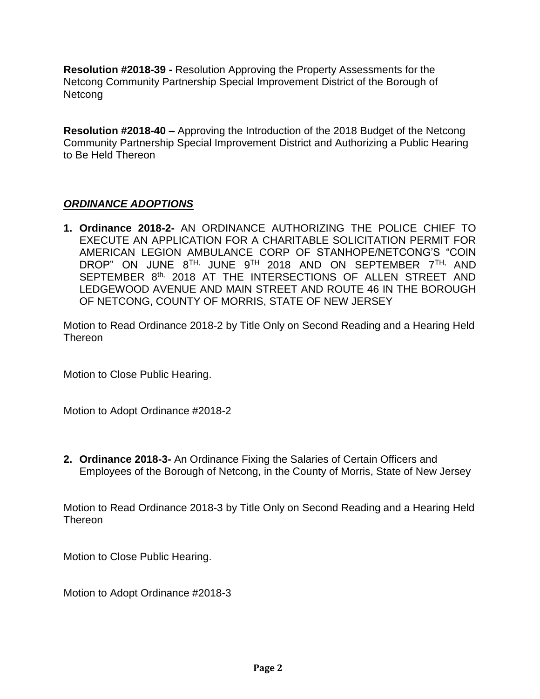**Resolution #2018-39 -** Resolution Approving the Property Assessments for the Netcong Community Partnership Special Improvement District of the Borough of Netcong

**Resolution #2018-40 –** Approving the Introduction of the 2018 Budget of the Netcong Community Partnership Special Improvement District and Authorizing a Public Hearing to Be Held Thereon

### *ORDINANCE ADOPTIONS*

**1. Ordinance 2018-2-** AN ORDINANCE AUTHORIZING THE POLICE CHIEF TO EXECUTE AN APPLICATION FOR A CHARITABLE SOLICITATION PERMIT FOR AMERICAN LEGION AMBULANCE CORP OF STANHOPE/NETCONG'S "COIN DROP" ON JUNE 8TH, JUNE 9TH 2018 AND ON SEPTEMBER 7TH, AND SEPTEMBER 8<sup>th,</sup> 2018 AT THE INTERSECTIONS OF ALLEN STREET AND LEDGEWOOD AVENUE AND MAIN STREET AND ROUTE 46 IN THE BOROUGH OF NETCONG, COUNTY OF MORRIS, STATE OF NEW JERSEY

Motion to Read Ordinance 2018-2 by Title Only on Second Reading and a Hearing Held Thereon

Motion to Close Public Hearing.

Motion to Adopt Ordinance #2018-2

**2. Ordinance 2018-3-** An Ordinance Fixing the Salaries of Certain Officers and Employees of the Borough of Netcong, in the County of Morris, State of New Jersey

Motion to Read Ordinance 2018-3 by Title Only on Second Reading and a Hearing Held **Thereon** 

Motion to Close Public Hearing.

Motion to Adopt Ordinance #2018-3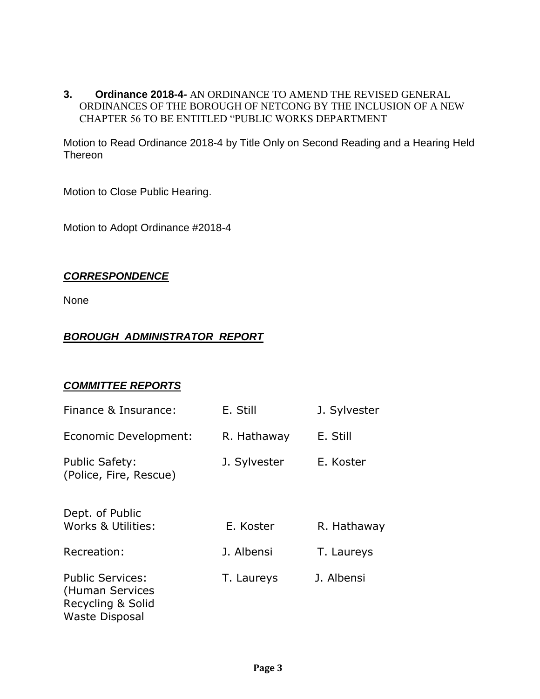**3. Ordinance 2018-4-** AN ORDINANCE TO AMEND THE REVISED GENERAL ORDINANCES OF THE BOROUGH OF NETCONG BY THE INCLUSION OF A NEW CHAPTER 56 TO BE ENTITLED "PUBLIC WORKS DEPARTMENT

Motion to Read Ordinance 2018-4 by Title Only on Second Reading and a Hearing Held Thereon

Motion to Close Public Hearing.

Motion to Adopt Ordinance #2018-4

#### *CORRESPONDENCE*

None

#### *BOROUGH ADMINISTRATOR REPORT*

#### *COMMITTEE REPORTS*

| Finance & Insurance:                                                                     | E. Still     | J. Sylvester |
|------------------------------------------------------------------------------------------|--------------|--------------|
| Economic Development:                                                                    | R. Hathaway  | E. Still     |
| <b>Public Safety:</b><br>(Police, Fire, Rescue)                                          | J. Sylvester | E. Koster    |
| Dept. of Public<br>Works & Utilities:                                                    | E. Koster    | R. Hathaway  |
| Recreation:                                                                              | J. Albensi   | T. Laureys   |
| <b>Public Services:</b><br>(Human Services<br>Recycling & Solid<br><b>Waste Disposal</b> | T. Laureys   | J. Albensi   |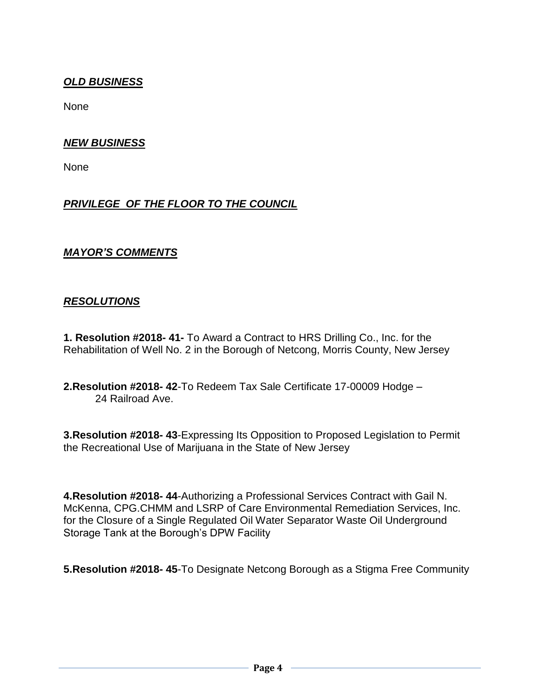## *OLD BUSINESS*

None

#### *NEW BUSINESS*

None

### *PRIVILEGE OF THE FLOOR TO THE COUNCIL*

#### *MAYOR'S COMMENTS*

#### *RESOLUTIONS*

**1. Resolution #2018- 41-** To Award a Contract to HRS Drilling Co., Inc. for the Rehabilitation of Well No. 2 in the Borough of Netcong, Morris County, New Jersey

**2.Resolution #2018- 42**-To Redeem Tax Sale Certificate 17-00009 Hodge – 24 Railroad Ave.

**3.Resolution #2018- 43**-Expressing Its Opposition to Proposed Legislation to Permit the Recreational Use of Marijuana in the State of New Jersey

**4.Resolution #2018- 44**-Authorizing a Professional Services Contract with Gail N. McKenna, CPG.CHMM and LSRP of Care Environmental Remediation Services, Inc. for the Closure of a Single Regulated Oil Water Separator Waste Oil Underground Storage Tank at the Borough's DPW Facility

**5.Resolution #2018- 45**-To Designate Netcong Borough as a Stigma Free Community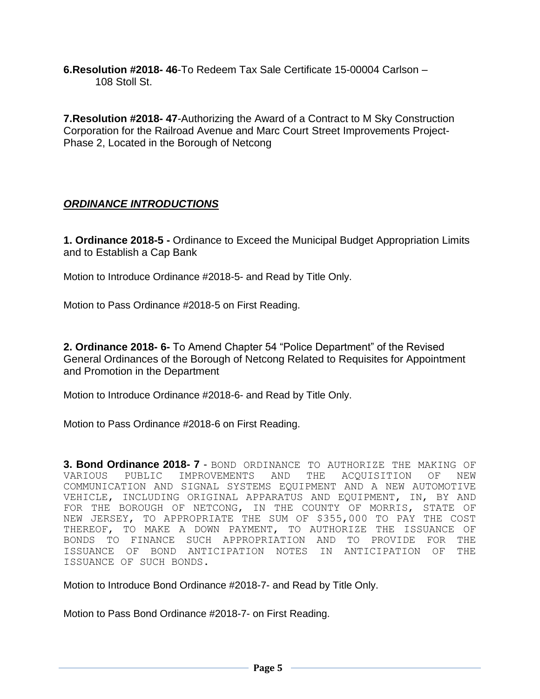**6.Resolution #2018- 46**-To Redeem Tax Sale Certificate 15-00004 Carlson – 108 Stoll St.

**7.Resolution #2018- 47**-Authorizing the Award of a Contract to M Sky Construction Corporation for the Railroad Avenue and Marc Court Street Improvements Project-Phase 2, Located in the Borough of Netcong

## *ORDINANCE INTRODUCTIONS*

**1. Ordinance 2018-5 -** Ordinance to Exceed the Municipal Budget Appropriation Limits and to Establish a Cap Bank

Motion to Introduce Ordinance #2018-5- and Read by Title Only.

Motion to Pass Ordinance #2018-5 on First Reading.

**2. Ordinance 2018- 6-** To Amend Chapter 54 "Police Department" of the Revised General Ordinances of the Borough of Netcong Related to Requisites for Appointment and Promotion in the Department

Motion to Introduce Ordinance #2018-6- and Read by Title Only.

Motion to Pass Ordinance #2018-6 on First Reading.

**3. Bond Ordinance 2018- 7** - BOND ORDINANCE TO AUTHORIZE THE MAKING OF VARIOUS PUBLIC IMPROVEMENTS AND THE ACQUISITION OF NEW COMMUNICATION AND SIGNAL SYSTEMS EQUIPMENT AND A NEW AUTOMOTIVE VEHICLE, INCLUDING ORIGINAL APPARATUS AND EQUIPMENT, IN, BY AND FOR THE BOROUGH OF NETCONG, IN THE COUNTY OF MORRIS, STATE OF NEW JERSEY, TO APPROPRIATE THE SUM OF \$355,000 TO PAY THE COST THEREOF, TO MAKE A DOWN PAYMENT, TO AUTHORIZE THE ISSUANCE OF BONDS TO FINANCE SUCH APPROPRIATION AND TO PROVIDE FOR THE ISSUANCE OF BOND ANTICIPATION NOTES IN ANTICIPATION OF THE ISSUANCE OF SUCH BONDS.

Motion to Introduce Bond Ordinance #2018-7- and Read by Title Only.

Motion to Pass Bond Ordinance #2018-7- on First Reading.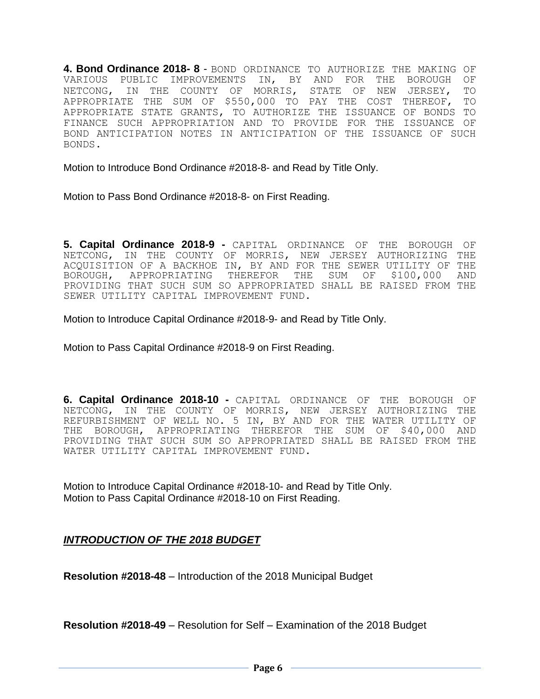**4. Bond Ordinance 2018- 8** - BOND ORDINANCE TO AUTHORIZE THE MAKING OF VARIOUS PUBLIC IMPROVEMENTS IN, BY AND FOR THE BOROUGH OF NETCONG, IN THE COUNTY OF MORRIS, STATE OF NEW JERSEY, TO APPROPRIATE THE SUM OF \$550,000 TO PAY THE COST THEREOF, TO APPROPRIATE STATE GRANTS, TO AUTHORIZE THE ISSUANCE OF BONDS TO FINANCE SUCH APPROPRIATION AND TO PROVIDE FOR THE ISSUANCE OF BOND ANTICIPATION NOTES IN ANTICIPATION OF THE ISSUANCE OF SUCH BONDS.

Motion to Introduce Bond Ordinance #2018-8- and Read by Title Only.

Motion to Pass Bond Ordinance #2018-8- on First Reading.

**5. Capital Ordinance 2018-9 -** CAPITAL ORDINANCE OF THE BOROUGH OF NETCONG, IN THE COUNTY OF MORRIS, NEW JERSEY AUTHORIZING THE ACQUISITION OF A BACKHOE IN, BY AND FOR THE SEWER UTILITY OF THE BOROUGH, APPROPRIATING THEREFOR THE SUM OF \$100,000 AND PROVIDING THAT SUCH SUM SO APPROPRIATED SHALL BE RAISED FROM THE SEWER UTILITY CAPITAL IMPROVEMENT FUND.

Motion to Introduce Capital Ordinance #2018-9- and Read by Title Only.

Motion to Pass Capital Ordinance #2018-9 on First Reading.

**6. Capital Ordinance 2018-10 -** CAPITAL ORDINANCE OF THE BOROUGH OF NETCONG, IN THE COUNTY OF MORRIS, NEW JERSEY AUTHORIZING THE REFURBISHMENT OF WELL NO. 5 IN, BY AND FOR THE WATER UTILITY OF THE BOROUGH, APPROPRIATING THEREFOR THE SUM OF \$40,000 AND PROVIDING THAT SUCH SUM SO APPROPRIATED SHALL BE RAISED FROM THE WATER UTILITY CAPITAL IMPROVEMENT FUND.

Motion to Introduce Capital Ordinance #2018-10- and Read by Title Only. Motion to Pass Capital Ordinance #2018-10 on First Reading.

*INTRODUCTION OF THE 2018 BUDGET*

**Resolution #2018-48** – Introduction of the 2018 Municipal Budget

**Resolution #2018-49** – Resolution for Self – Examination of the 2018 Budget